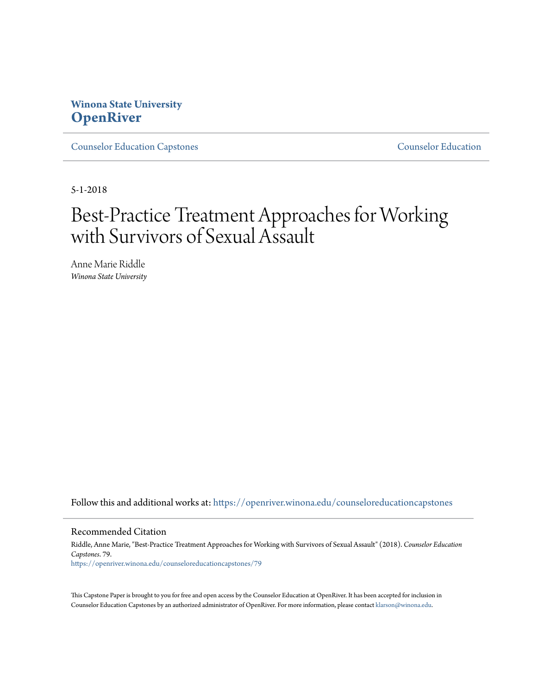# **Winona State University [OpenRiver](https://openriver.winona.edu?utm_source=openriver.winona.edu%2Fcounseloreducationcapstones%2F79&utm_medium=PDF&utm_campaign=PDFCoverPages)**

[Counselor Education Capstones](https://openriver.winona.edu/counseloreducationcapstones?utm_source=openriver.winona.edu%2Fcounseloreducationcapstones%2F79&utm_medium=PDF&utm_campaign=PDFCoverPages) [Counselor Education](https://openriver.winona.edu/counseloreducation?utm_source=openriver.winona.edu%2Fcounseloreducationcapstones%2F79&utm_medium=PDF&utm_campaign=PDFCoverPages)

5-1-2018

# Best-Practice Treatment Approaches for Working with Survivors of Sexual Assault

Anne Marie Riddle *Winona State University*

Follow this and additional works at: [https://openriver.winona.edu/counseloreducationcapstones](https://openriver.winona.edu/counseloreducationcapstones?utm_source=openriver.winona.edu%2Fcounseloreducationcapstones%2F79&utm_medium=PDF&utm_campaign=PDFCoverPages)

## Recommended Citation

Riddle, Anne Marie, "Best-Practice Treatment Approaches for Working with Survivors of Sexual Assault" (2018). *Counselor Education Capstones*. 79. [https://openriver.winona.edu/counseloreducationcapstones/79](https://openriver.winona.edu/counseloreducationcapstones/79?utm_source=openriver.winona.edu%2Fcounseloreducationcapstones%2F79&utm_medium=PDF&utm_campaign=PDFCoverPages)

This Capstone Paper is brought to you for free and open access by the Counselor Education at OpenRiver. It has been accepted for inclusion in Counselor Education Capstones by an authorized administrator of OpenRiver. For more information, please contact [klarson@winona.edu](mailto:klarson@winona.edu).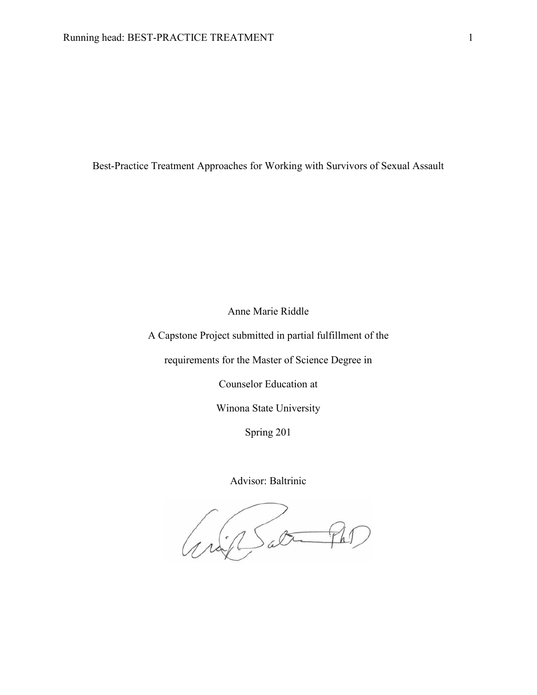Best-Practice Treatment Approaches for Working with Survivors of Sexual Assault

Anne Marie Riddle

A Capstone Project submitted in partial fulfillment of the

requirements for the Master of Science Degree in

Counselor Education at

Winona State University

Spring 201

Advisor: Baltrinic

Grip Sat Pro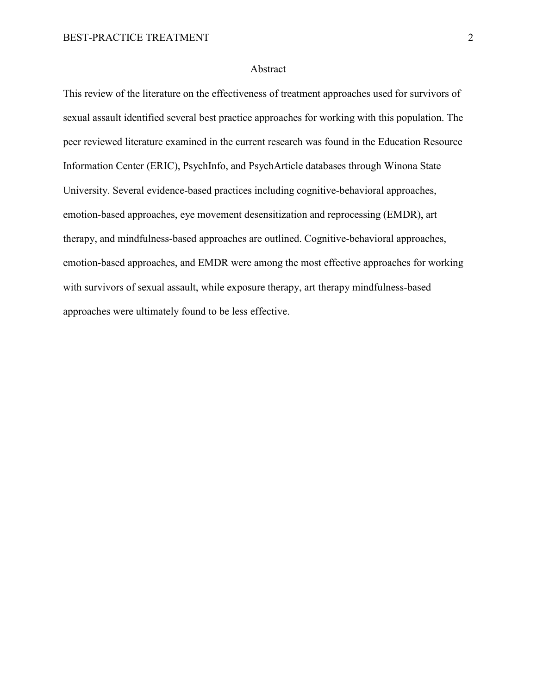## Abstract

This review of the literature on the effectiveness of treatment approaches used for survivors of sexual assault identified several best practice approaches for working with this population. The peer reviewed literature examined in the current research was found in the Education Resource Information Center (ERIC), PsychInfo, and PsychArticle databases through Winona State University. Several evidence-based practices including cognitive-behavioral approaches, emotion-based approaches, eye movement desensitization and reprocessing (EMDR), art therapy, and mindfulness-based approaches are outlined. Cognitive-behavioral approaches, emotion-based approaches, and EMDR were among the most effective approaches for working with survivors of sexual assault, while exposure therapy, art therapy mindfulness-based approaches were ultimately found to be less effective.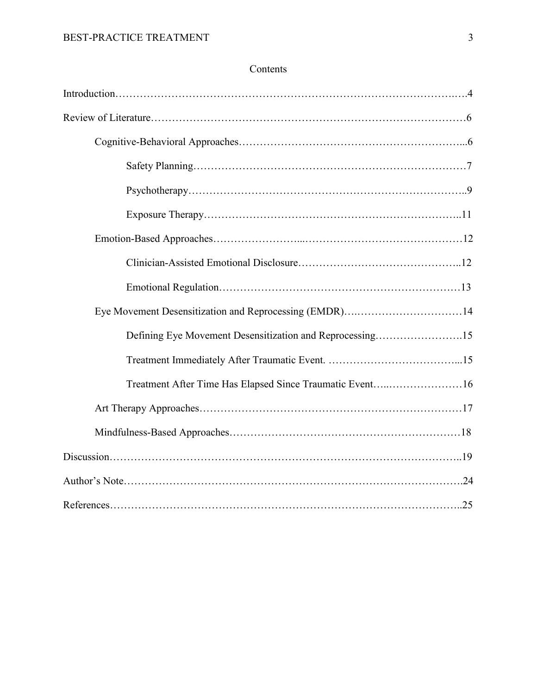## Contents

| Defining Eye Movement Desensitization and Reprocessing15 |  |
|----------------------------------------------------------|--|
|                                                          |  |
| Treatment After Time Has Elapsed Since Traumatic Event16 |  |
|                                                          |  |
|                                                          |  |
|                                                          |  |
|                                                          |  |
|                                                          |  |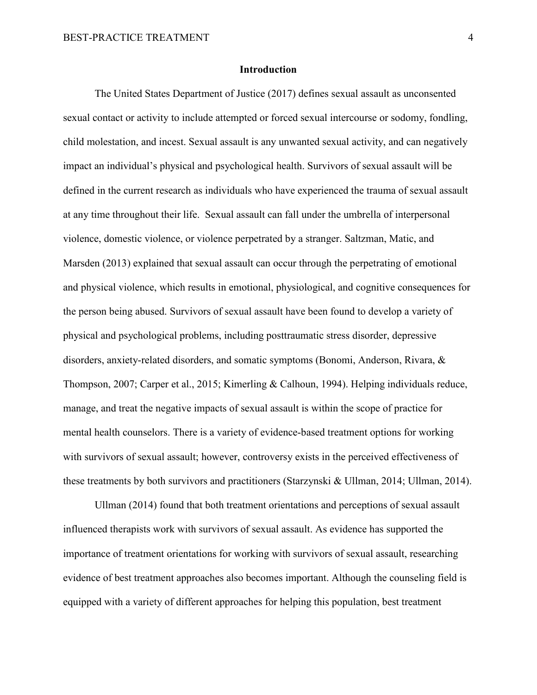## **Introduction**

The United States Department of Justice (2017) defines sexual assault as unconsented sexual contact or activity to include attempted or forced sexual intercourse or sodomy, fondling, child molestation, and incest. Sexual assault is any unwanted sexual activity, and can negatively impact an individual's physical and psychological health. Survivors of sexual assault will be defined in the current research as individuals who have experienced the trauma of sexual assault at any time throughout their life. Sexual assault can fall under the umbrella of interpersonal violence, domestic violence, or violence perpetrated by a stranger. Saltzman, Matic, and Marsden (2013) explained that sexual assault can occur through the perpetrating of emotional and physical violence, which results in emotional, physiological, and cognitive consequences for the person being abused. Survivors of sexual assault have been found to develop a variety of physical and psychological problems, including posttraumatic stress disorder, depressive disorders, anxiety-related disorders, and somatic symptoms (Bonomi, Anderson, Rivara, & Thompson, 2007; Carper et al., 2015; Kimerling & Calhoun, 1994). Helping individuals reduce, manage, and treat the negative impacts of sexual assault is within the scope of practice for mental health counselors. There is a variety of evidence-based treatment options for working with survivors of sexual assault; however, controversy exists in the perceived effectiveness of these treatments by both survivors and practitioners (Starzynski & Ullman, 2014; Ullman, 2014).

Ullman (2014) found that both treatment orientations and perceptions of sexual assault influenced therapists work with survivors of sexual assault. As evidence has supported the importance of treatment orientations for working with survivors of sexual assault, researching evidence of best treatment approaches also becomes important. Although the counseling field is equipped with a variety of different approaches for helping this population, best treatment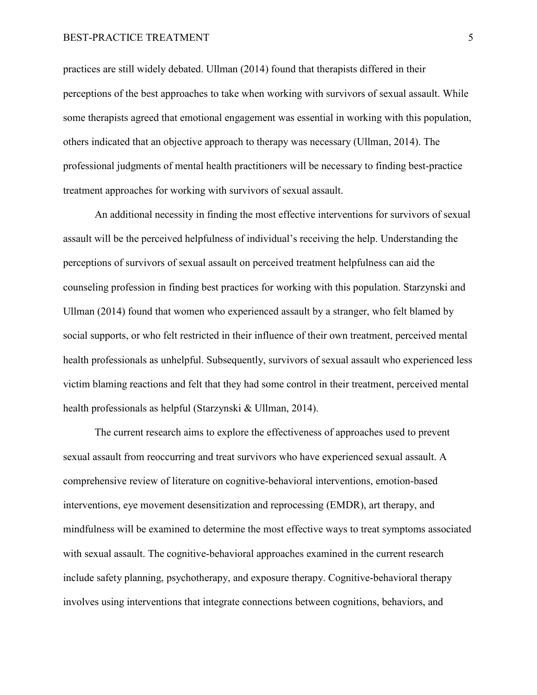## BEST-PRACTICE TREATMENT 5

practices are still widely debated. Ullman (2014) found that therapists differed in their perceptions of the best approaches to take when working with survivors of sexual assault. While some therapists agreed that emotional engagement was essential in working with this population, others indicated that an objective approach to therapy was necessary (Ullman, 2014). The professional judgments of mental health practitioners will be necessary to finding best-practice treatment approaches for working with survivors of sexual assault.

An additional necessity in finding the most effective interventions for survivors of sexual assault will be the perceived helpfulness of individual's receiving the help. Understanding the perceptions of survivors of sexual assault on perceived treatment helpfulness can aid the counseling profession in finding best practices for working with this population. Starzynski and Ullman (2014) found that women who experienced assault by a stranger, who felt blamed by social supports, or who felt restricted in their influence of their own treatment, perceived mental health professionals as unhelpful. Subsequently, survivors of sexual assault who experienced less victim blaming reactions and felt that they had some control in their treatment, perceived mental health professionals as helpful (Starzynski & Ullman, 2014).

The current research aims to explore the effectiveness of approaches used to prevent sexual assault from reoccurring and treat survivors who have experienced sexual assault. A comprehensive review of literature on cognitive-behavioral interventions, emotion-based interventions, eye movement desensitization and reprocessing (EMDR), art therapy, and mindfulness will be examined to determine the most effective ways to treat symptoms associated with sexual assault. The cognitive-behavioral approaches examined in the current research include safety planning, psychotherapy, and exposure therapy. Cognitive-behavioral therapy involves using interventions that integrate connections between cognitions, behaviors, and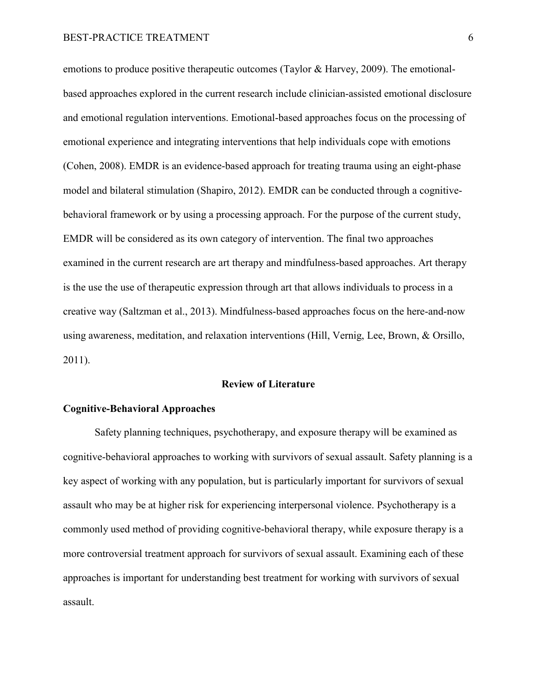emotions to produce positive therapeutic outcomes (Taylor & Harvey, 2009). The emotionalbased approaches explored in the current research include clinician-assisted emotional disclosure and emotional regulation interventions. Emotional-based approaches focus on the processing of emotional experience and integrating interventions that help individuals cope with emotions (Cohen, 2008). EMDR is an evidence-based approach for treating trauma using an eight-phase model and bilateral stimulation (Shapiro, 2012). EMDR can be conducted through a cognitivebehavioral framework or by using a processing approach. For the purpose of the current study, EMDR will be considered as its own category of intervention. The final two approaches examined in the current research are art therapy and mindfulness-based approaches. Art therapy is the use the use of therapeutic expression through art that allows individuals to process in a creative way (Saltzman et al., 2013). Mindfulness-based approaches focus on the here-and-now using awareness, meditation, and relaxation interventions (Hill, Vernig, Lee, Brown, & Orsillo, 2011).

## **Review of Literature**

## **Cognitive-Behavioral Approaches**

 Safety planning techniques, psychotherapy, and exposure therapy will be examined as cognitive-behavioral approaches to working with survivors of sexual assault. Safety planning is a key aspect of working with any population, but is particularly important for survivors of sexual assault who may be at higher risk for experiencing interpersonal violence. Psychotherapy is a commonly used method of providing cognitive-behavioral therapy, while exposure therapy is a more controversial treatment approach for survivors of sexual assault. Examining each of these approaches is important for understanding best treatment for working with survivors of sexual assault.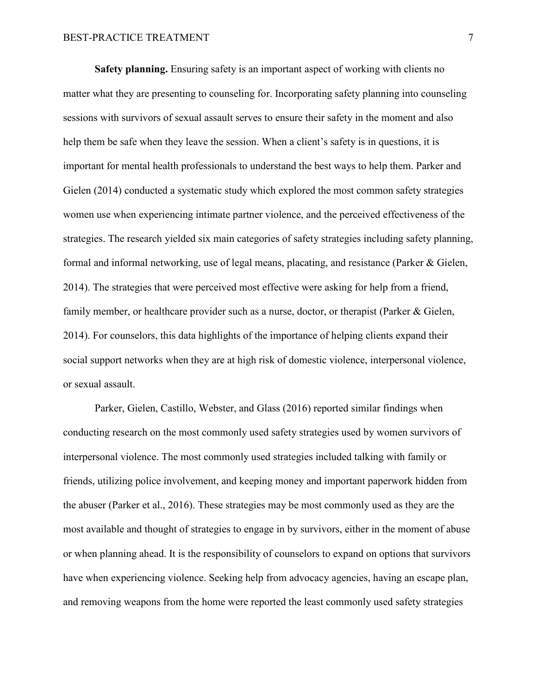**Safety planning.** Ensuring safety is an important aspect of working with clients no matter what they are presenting to counseling for. Incorporating safety planning into counseling sessions with survivors of sexual assault serves to ensure their safety in the moment and also help them be safe when they leave the session. When a client's safety is in questions, it is important for mental health professionals to understand the best ways to help them. Parker and Gielen (2014) conducted a systematic study which explored the most common safety strategies women use when experiencing intimate partner violence, and the perceived effectiveness of the strategies. The research yielded six main categories of safety strategies including safety planning, formal and informal networking, use of legal means, placating, and resistance (Parker & Gielen, 2014). The strategies that were perceived most effective were asking for help from a friend, family member, or healthcare provider such as a nurse, doctor, or therapist (Parker & Gielen, 2014). For counselors, this data highlights of the importance of helping clients expand their social support networks when they are at high risk of domestic violence, interpersonal violence, or sexual assault.

Parker, Gielen, Castillo, Webster, and Glass (2016) reported similar findings when conducting research on the most commonly used safety strategies used by women survivors of interpersonal violence. The most commonly used strategies included talking with family or friends, utilizing police involvement, and keeping money and important paperwork hidden from the abuser (Parker et al., 2016). These strategies may be most commonly used as they are the most available and thought of strategies to engage in by survivors, either in the moment of abuse or when planning ahead. It is the responsibility of counselors to expand on options that survivors have when experiencing violence. Seeking help from advocacy agencies, having an escape plan, and removing weapons from the home were reported the least commonly used safety strategies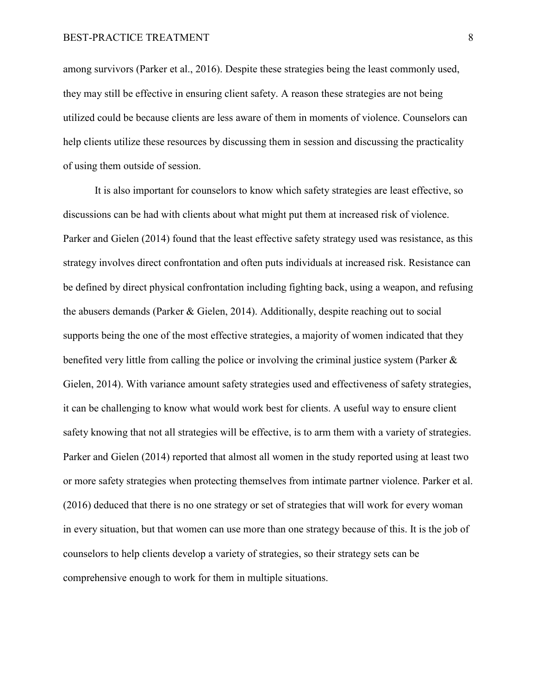among survivors (Parker et al., 2016). Despite these strategies being the least commonly used, they may still be effective in ensuring client safety. A reason these strategies are not being utilized could be because clients are less aware of them in moments of violence. Counselors can help clients utilize these resources by discussing them in session and discussing the practicality of using them outside of session.

It is also important for counselors to know which safety strategies are least effective, so discussions can be had with clients about what might put them at increased risk of violence. Parker and Gielen (2014) found that the least effective safety strategy used was resistance, as this strategy involves direct confrontation and often puts individuals at increased risk. Resistance can be defined by direct physical confrontation including fighting back, using a weapon, and refusing the abusers demands (Parker & Gielen, 2014). Additionally, despite reaching out to social supports being the one of the most effective strategies, a majority of women indicated that they benefited very little from calling the police or involving the criminal justice system (Parker  $\&$ Gielen, 2014). With variance amount safety strategies used and effectiveness of safety strategies, it can be challenging to know what would work best for clients. A useful way to ensure client safety knowing that not all strategies will be effective, is to arm them with a variety of strategies. Parker and Gielen (2014) reported that almost all women in the study reported using at least two or more safety strategies when protecting themselves from intimate partner violence. Parker et al. (2016) deduced that there is no one strategy or set of strategies that will work for every woman in every situation, but that women can use more than one strategy because of this. It is the job of counselors to help clients develop a variety of strategies, so their strategy sets can be comprehensive enough to work for them in multiple situations.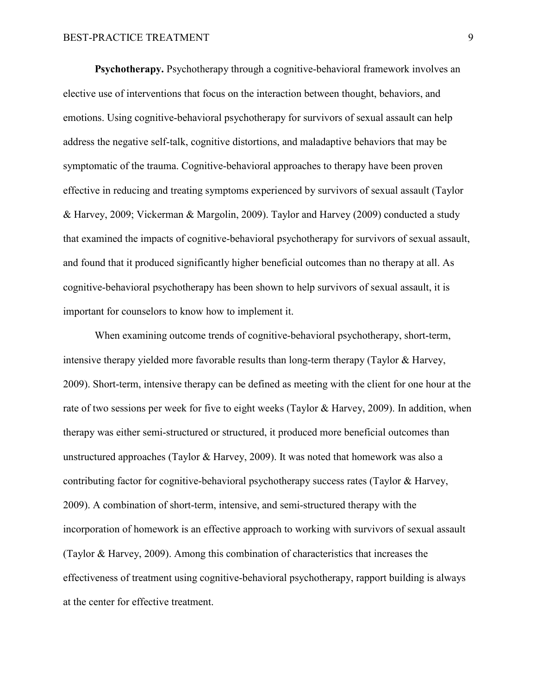**Psychotherapy.** Psychotherapy through a cognitive-behavioral framework involves an elective use of interventions that focus on the interaction between thought, behaviors, and emotions. Using cognitive-behavioral psychotherapy for survivors of sexual assault can help address the negative self-talk, cognitive distortions, and maladaptive behaviors that may be symptomatic of the trauma. Cognitive-behavioral approaches to therapy have been proven effective in reducing and treating symptoms experienced by survivors of sexual assault (Taylor & Harvey, 2009; Vickerman & Margolin, 2009). Taylor and Harvey (2009) conducted a study that examined the impacts of cognitive-behavioral psychotherapy for survivors of sexual assault, and found that it produced significantly higher beneficial outcomes than no therapy at all. As cognitive-behavioral psychotherapy has been shown to help survivors of sexual assault, it is important for counselors to know how to implement it.

When examining outcome trends of cognitive-behavioral psychotherapy, short-term, intensive therapy yielded more favorable results than long-term therapy (Taylor & Harvey, 2009). Short-term, intensive therapy can be defined as meeting with the client for one hour at the rate of two sessions per week for five to eight weeks (Taylor & Harvey, 2009). In addition, when therapy was either semi-structured or structured, it produced more beneficial outcomes than unstructured approaches (Taylor & Harvey, 2009). It was noted that homework was also a contributing factor for cognitive-behavioral psychotherapy success rates (Taylor & Harvey, 2009). A combination of short-term, intensive, and semi-structured therapy with the incorporation of homework is an effective approach to working with survivors of sexual assault (Taylor & Harvey, 2009). Among this combination of characteristics that increases the effectiveness of treatment using cognitive-behavioral psychotherapy, rapport building is always at the center for effective treatment.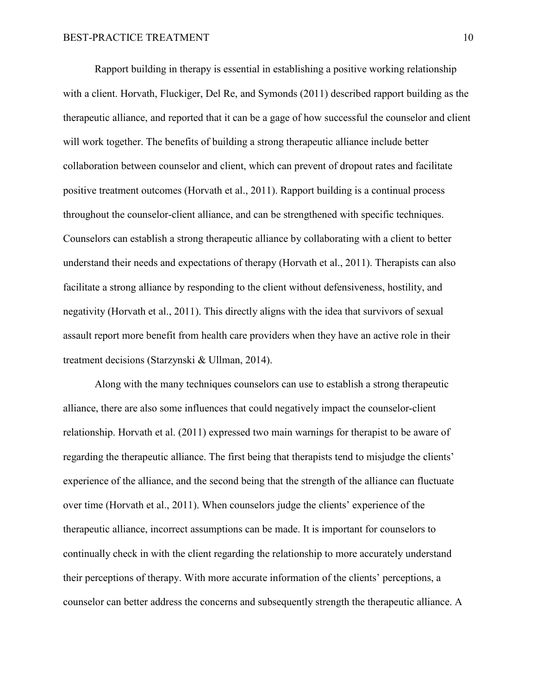Rapport building in therapy is essential in establishing a positive working relationship with a client. Horvath, Fluckiger, Del Re, and Symonds (2011) described rapport building as the therapeutic alliance, and reported that it can be a gage of how successful the counselor and client will work together. The benefits of building a strong therapeutic alliance include better collaboration between counselor and client, which can prevent of dropout rates and facilitate positive treatment outcomes (Horvath et al., 2011). Rapport building is a continual process throughout the counselor-client alliance, and can be strengthened with specific techniques. Counselors can establish a strong therapeutic alliance by collaborating with a client to better understand their needs and expectations of therapy (Horvath et al., 2011). Therapists can also facilitate a strong alliance by responding to the client without defensiveness, hostility, and negativity (Horvath et al., 2011). This directly aligns with the idea that survivors of sexual assault report more benefit from health care providers when they have an active role in their treatment decisions (Starzynski & Ullman, 2014).

Along with the many techniques counselors can use to establish a strong therapeutic alliance, there are also some influences that could negatively impact the counselor-client relationship. Horvath et al. (2011) expressed two main warnings for therapist to be aware of regarding the therapeutic alliance. The first being that therapists tend to misjudge the clients' experience of the alliance, and the second being that the strength of the alliance can fluctuate over time (Horvath et al., 2011). When counselors judge the clients' experience of the therapeutic alliance, incorrect assumptions can be made. It is important for counselors to continually check in with the client regarding the relationship to more accurately understand their perceptions of therapy. With more accurate information of the clients' perceptions, a counselor can better address the concerns and subsequently strength the therapeutic alliance. A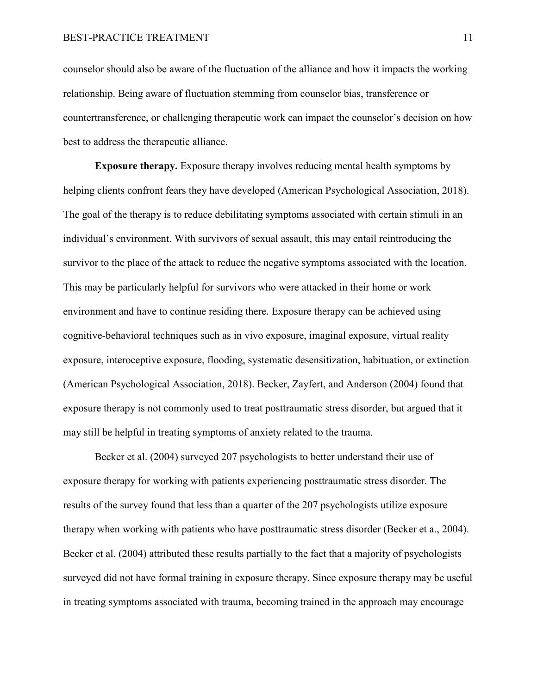counselor should also be aware of the fluctuation of the alliance and how it impacts the working relationship. Being aware of fluctuation stemming from counselor bias, transference or countertransference, or challenging therapeutic work can impact the counselor's decision on how best to address the therapeutic alliance.

**Exposure therapy.** Exposure therapy involves reducing mental health symptoms by helping clients confront fears they have developed (American Psychological Association, 2018). The goal of the therapy is to reduce debilitating symptoms associated with certain stimuli in an individual's environment. With survivors of sexual assault, this may entail reintroducing the survivor to the place of the attack to reduce the negative symptoms associated with the location. This may be particularly helpful for survivors who were attacked in their home or work environment and have to continue residing there. Exposure therapy can be achieved using cognitive-behavioral techniques such as in vivo exposure, imaginal exposure, virtual reality exposure, interoceptive exposure, flooding, systematic desensitization, habituation, or extinction (American Psychological Association, 2018). Becker, Zayfert, and Anderson (2004) found that exposure therapy is not commonly used to treat posttraumatic stress disorder, but argued that it may still be helpful in treating symptoms of anxiety related to the trauma.

Becker et al. (2004) surveyed 207 psychologists to better understand their use of exposure therapy for working with patients experiencing posttraumatic stress disorder. The results of the survey found that less than a quarter of the 207 psychologists utilize exposure therapy when working with patients who have posttraumatic stress disorder (Becker et a., 2004). Becker et al. (2004) attributed these results partially to the fact that a majority of psychologists surveyed did not have formal training in exposure therapy. Since exposure therapy may be useful in treating symptoms associated with trauma, becoming trained in the approach may encourage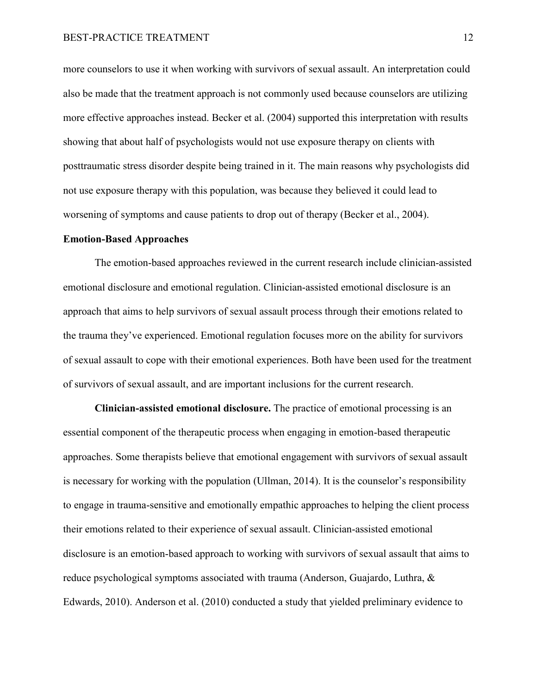more counselors to use it when working with survivors of sexual assault. An interpretation could also be made that the treatment approach is not commonly used because counselors are utilizing more effective approaches instead. Becker et al. (2004) supported this interpretation with results showing that about half of psychologists would not use exposure therapy on clients with posttraumatic stress disorder despite being trained in it. The main reasons why psychologists did not use exposure therapy with this population, was because they believed it could lead to worsening of symptoms and cause patients to drop out of therapy (Becker et al., 2004).

#### **Emotion-Based Approaches**

The emotion-based approaches reviewed in the current research include clinician-assisted emotional disclosure and emotional regulation. Clinician-assisted emotional disclosure is an approach that aims to help survivors of sexual assault process through their emotions related to the trauma they've experienced. Emotional regulation focuses more on the ability for survivors of sexual assault to cope with their emotional experiences. Both have been used for the treatment of survivors of sexual assault, and are important inclusions for the current research.

**Clinician-assisted emotional disclosure.** The practice of emotional processing is an essential component of the therapeutic process when engaging in emotion-based therapeutic approaches. Some therapists believe that emotional engagement with survivors of sexual assault is necessary for working with the population (Ullman, 2014). It is the counselor's responsibility to engage in trauma-sensitive and emotionally empathic approaches to helping the client process their emotions related to their experience of sexual assault. Clinician-assisted emotional disclosure is an emotion-based approach to working with survivors of sexual assault that aims to reduce psychological symptoms associated with trauma (Anderson, Guajardo, Luthra, & Edwards, 2010). Anderson et al. (2010) conducted a study that yielded preliminary evidence to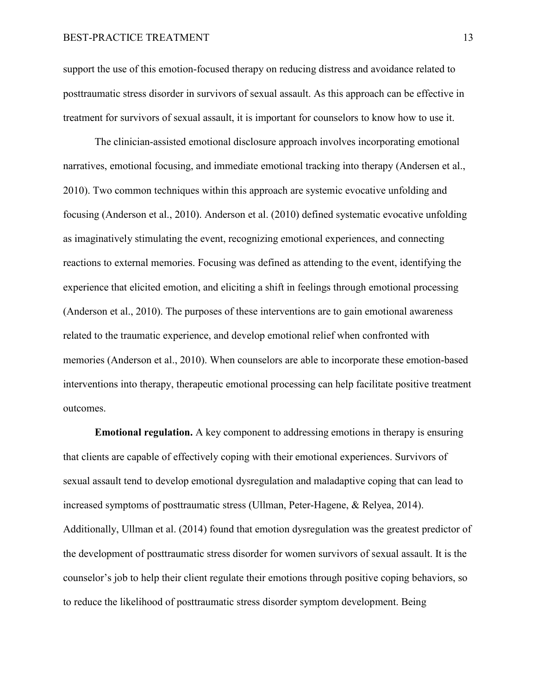support the use of this emotion-focused therapy on reducing distress and avoidance related to posttraumatic stress disorder in survivors of sexual assault. As this approach can be effective in treatment for survivors of sexual assault, it is important for counselors to know how to use it.

The clinician-assisted emotional disclosure approach involves incorporating emotional narratives, emotional focusing, and immediate emotional tracking into therapy (Andersen et al., 2010). Two common techniques within this approach are systemic evocative unfolding and focusing (Anderson et al., 2010). Anderson et al. (2010) defined systematic evocative unfolding as imaginatively stimulating the event, recognizing emotional experiences, and connecting reactions to external memories. Focusing was defined as attending to the event, identifying the experience that elicited emotion, and eliciting a shift in feelings through emotional processing (Anderson et al., 2010). The purposes of these interventions are to gain emotional awareness related to the traumatic experience, and develop emotional relief when confronted with memories (Anderson et al., 2010). When counselors are able to incorporate these emotion-based interventions into therapy, therapeutic emotional processing can help facilitate positive treatment outcomes.

**Emotional regulation.** A key component to addressing emotions in therapy is ensuring that clients are capable of effectively coping with their emotional experiences. Survivors of sexual assault tend to develop emotional dysregulation and maladaptive coping that can lead to increased symptoms of posttraumatic stress (Ullman, Peter-Hagene, & Relyea, 2014). Additionally, Ullman et al. (2014) found that emotion dysregulation was the greatest predictor of the development of posttraumatic stress disorder for women survivors of sexual assault. It is the counselor's job to help their client regulate their emotions through positive coping behaviors, so to reduce the likelihood of posttraumatic stress disorder symptom development. Being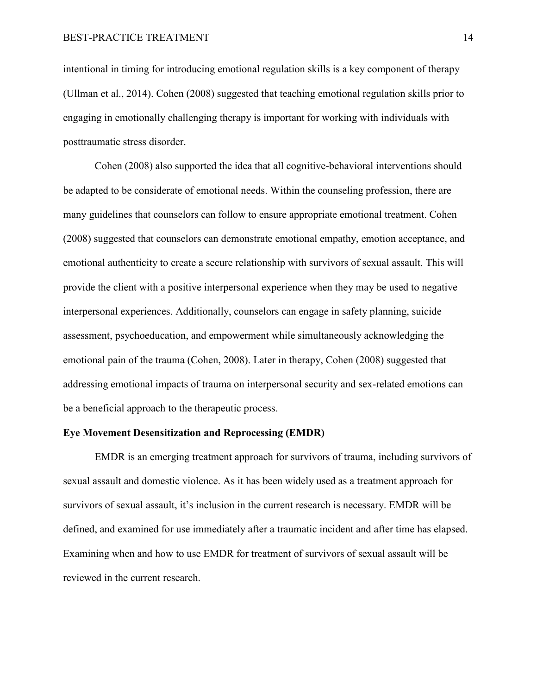intentional in timing for introducing emotional regulation skills is a key component of therapy (Ullman et al., 2014). Cohen (2008) suggested that teaching emotional regulation skills prior to engaging in emotionally challenging therapy is important for working with individuals with posttraumatic stress disorder.

Cohen (2008) also supported the idea that all cognitive-behavioral interventions should be adapted to be considerate of emotional needs. Within the counseling profession, there are many guidelines that counselors can follow to ensure appropriate emotional treatment. Cohen (2008) suggested that counselors can demonstrate emotional empathy, emotion acceptance, and emotional authenticity to create a secure relationship with survivors of sexual assault. This will provide the client with a positive interpersonal experience when they may be used to negative interpersonal experiences. Additionally, counselors can engage in safety planning, suicide assessment, psychoeducation, and empowerment while simultaneously acknowledging the emotional pain of the trauma (Cohen, 2008). Later in therapy, Cohen (2008) suggested that addressing emotional impacts of trauma on interpersonal security and sex-related emotions can be a beneficial approach to the therapeutic process.

## **Eye Movement Desensitization and Reprocessing (EMDR)**

 EMDR is an emerging treatment approach for survivors of trauma, including survivors of sexual assault and domestic violence. As it has been widely used as a treatment approach for survivors of sexual assault, it's inclusion in the current research is necessary. EMDR will be defined, and examined for use immediately after a traumatic incident and after time has elapsed. Examining when and how to use EMDR for treatment of survivors of sexual assault will be reviewed in the current research.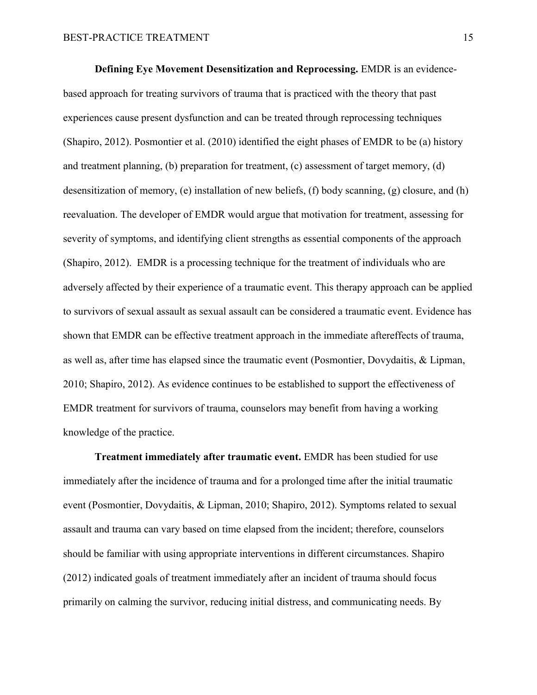**Defining Eye Movement Desensitization and Reprocessing.** EMDR is an evidencebased approach for treating survivors of trauma that is practiced with the theory that past experiences cause present dysfunction and can be treated through reprocessing techniques (Shapiro, 2012). Posmontier et al. (2010) identified the eight phases of EMDR to be (a) history and treatment planning, (b) preparation for treatment, (c) assessment of target memory, (d) desensitization of memory, (e) installation of new beliefs, (f) body scanning, (g) closure, and (h) reevaluation. The developer of EMDR would argue that motivation for treatment, assessing for severity of symptoms, and identifying client strengths as essential components of the approach (Shapiro, 2012). EMDR is a processing technique for the treatment of individuals who are adversely affected by their experience of a traumatic event. This therapy approach can be applied to survivors of sexual assault as sexual assault can be considered a traumatic event. Evidence has shown that EMDR can be effective treatment approach in the immediate aftereffects of trauma, as well as, after time has elapsed since the traumatic event (Posmontier, Dovydaitis, & Lipman, 2010; Shapiro, 2012). As evidence continues to be established to support the effectiveness of EMDR treatment for survivors of trauma, counselors may benefit from having a working knowledge of the practice.

**Treatment immediately after traumatic event.** EMDR has been studied for use immediately after the incidence of trauma and for a prolonged time after the initial traumatic event (Posmontier, Dovydaitis, & Lipman, 2010; Shapiro, 2012). Symptoms related to sexual assault and trauma can vary based on time elapsed from the incident; therefore, counselors should be familiar with using appropriate interventions in different circumstances. Shapiro (2012) indicated goals of treatment immediately after an incident of trauma should focus primarily on calming the survivor, reducing initial distress, and communicating needs. By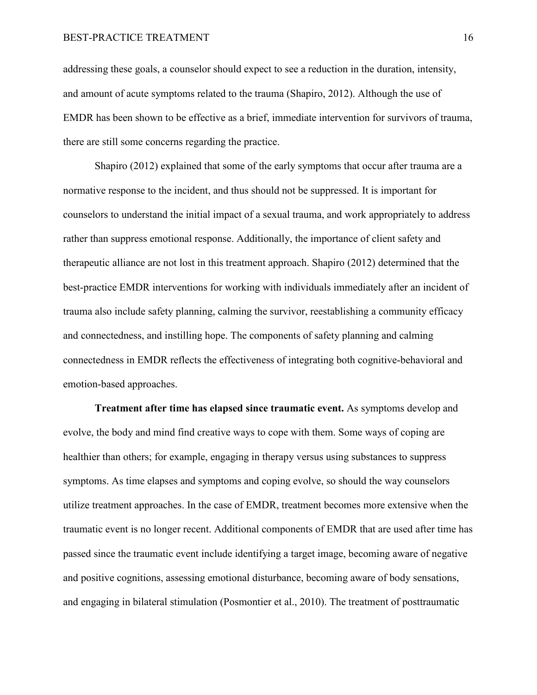#### BEST-PRACTICE TREATMENT 16

addressing these goals, a counselor should expect to see a reduction in the duration, intensity, and amount of acute symptoms related to the trauma (Shapiro, 2012). Although the use of EMDR has been shown to be effective as a brief, immediate intervention for survivors of trauma, there are still some concerns regarding the practice.

Shapiro (2012) explained that some of the early symptoms that occur after trauma are a normative response to the incident, and thus should not be suppressed. It is important for counselors to understand the initial impact of a sexual trauma, and work appropriately to address rather than suppress emotional response. Additionally, the importance of client safety and therapeutic alliance are not lost in this treatment approach. Shapiro (2012) determined that the best-practice EMDR interventions for working with individuals immediately after an incident of trauma also include safety planning, calming the survivor, reestablishing a community efficacy and connectedness, and instilling hope. The components of safety planning and calming connectedness in EMDR reflects the effectiveness of integrating both cognitive-behavioral and emotion-based approaches.

**Treatment after time has elapsed since traumatic event.** As symptoms develop and evolve, the body and mind find creative ways to cope with them. Some ways of coping are healthier than others; for example, engaging in therapy versus using substances to suppress symptoms. As time elapses and symptoms and coping evolve, so should the way counselors utilize treatment approaches. In the case of EMDR, treatment becomes more extensive when the traumatic event is no longer recent. Additional components of EMDR that are used after time has passed since the traumatic event include identifying a target image, becoming aware of negative and positive cognitions, assessing emotional disturbance, becoming aware of body sensations, and engaging in bilateral stimulation (Posmontier et al., 2010). The treatment of posttraumatic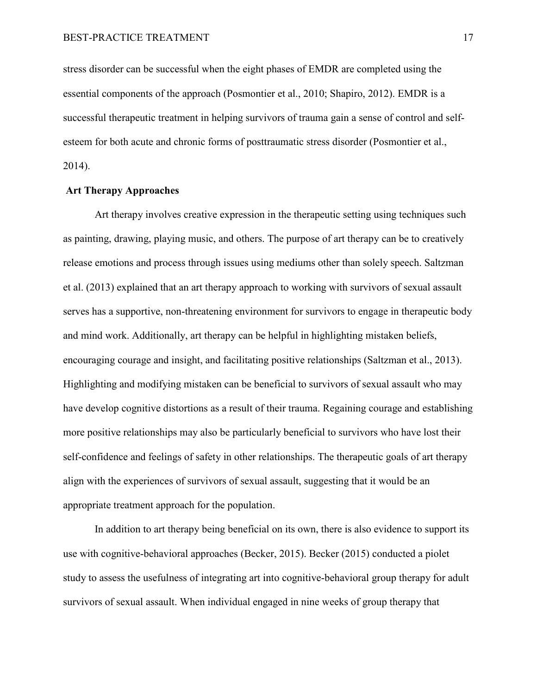stress disorder can be successful when the eight phases of EMDR are completed using the essential components of the approach (Posmontier et al., 2010; Shapiro, 2012). EMDR is a successful therapeutic treatment in helping survivors of trauma gain a sense of control and selfesteem for both acute and chronic forms of posttraumatic stress disorder (Posmontier et al., 2014).

## **Art Therapy Approaches**

Art therapy involves creative expression in the therapeutic setting using techniques such as painting, drawing, playing music, and others. The purpose of art therapy can be to creatively release emotions and process through issues using mediums other than solely speech. Saltzman et al. (2013) explained that an art therapy approach to working with survivors of sexual assault serves has a supportive, non-threatening environment for survivors to engage in therapeutic body and mind work. Additionally, art therapy can be helpful in highlighting mistaken beliefs, encouraging courage and insight, and facilitating positive relationships (Saltzman et al., 2013). Highlighting and modifying mistaken can be beneficial to survivors of sexual assault who may have develop cognitive distortions as a result of their trauma. Regaining courage and establishing more positive relationships may also be particularly beneficial to survivors who have lost their self-confidence and feelings of safety in other relationships. The therapeutic goals of art therapy align with the experiences of survivors of sexual assault, suggesting that it would be an appropriate treatment approach for the population.

In addition to art therapy being beneficial on its own, there is also evidence to support its use with cognitive-behavioral approaches (Becker, 2015). Becker (2015) conducted a piolet study to assess the usefulness of integrating art into cognitive-behavioral group therapy for adult survivors of sexual assault. When individual engaged in nine weeks of group therapy that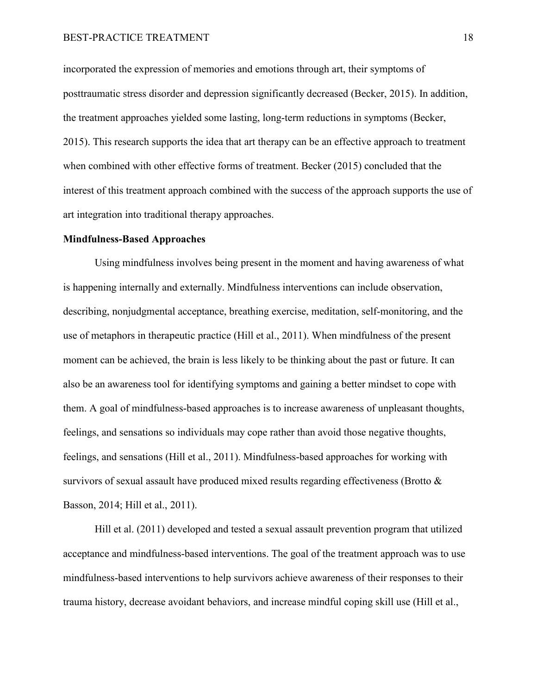incorporated the expression of memories and emotions through art, their symptoms of posttraumatic stress disorder and depression significantly decreased (Becker, 2015). In addition, the treatment approaches yielded some lasting, long-term reductions in symptoms (Becker, 2015). This research supports the idea that art therapy can be an effective approach to treatment when combined with other effective forms of treatment. Becker (2015) concluded that the interest of this treatment approach combined with the success of the approach supports the use of art integration into traditional therapy approaches.

## **Mindfulness-Based Approaches**

Using mindfulness involves being present in the moment and having awareness of what is happening internally and externally. Mindfulness interventions can include observation, describing, nonjudgmental acceptance, breathing exercise, meditation, self-monitoring, and the use of metaphors in therapeutic practice (Hill et al., 2011). When mindfulness of the present moment can be achieved, the brain is less likely to be thinking about the past or future. It can also be an awareness tool for identifying symptoms and gaining a better mindset to cope with them. A goal of mindfulness-based approaches is to increase awareness of unpleasant thoughts, feelings, and sensations so individuals may cope rather than avoid those negative thoughts, feelings, and sensations (Hill et al., 2011). Mindfulness-based approaches for working with survivors of sexual assault have produced mixed results regarding effectiveness (Brotto & Basson, 2014; Hill et al., 2011).

Hill et al. (2011) developed and tested a sexual assault prevention program that utilized acceptance and mindfulness-based interventions. The goal of the treatment approach was to use mindfulness-based interventions to help survivors achieve awareness of their responses to their trauma history, decrease avoidant behaviors, and increase mindful coping skill use (Hill et al.,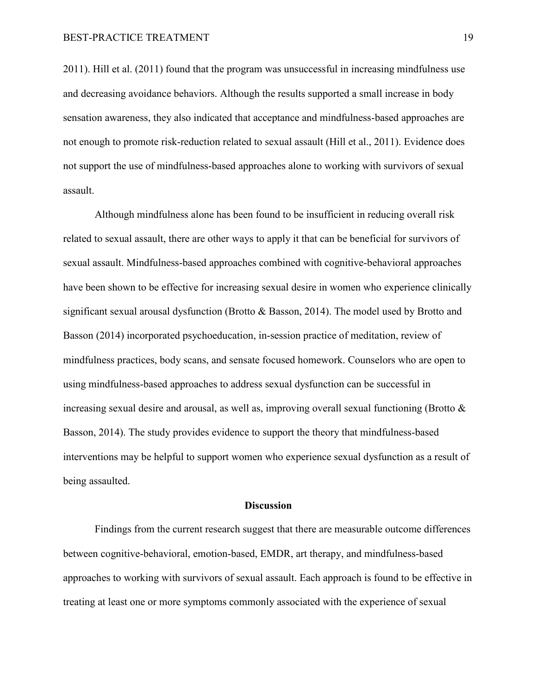2011). Hill et al. (2011) found that the program was unsuccessful in increasing mindfulness use and decreasing avoidance behaviors. Although the results supported a small increase in body sensation awareness, they also indicated that acceptance and mindfulness-based approaches are not enough to promote risk-reduction related to sexual assault (Hill et al., 2011). Evidence does not support the use of mindfulness-based approaches alone to working with survivors of sexual assault.

Although mindfulness alone has been found to be insufficient in reducing overall risk related to sexual assault, there are other ways to apply it that can be beneficial for survivors of sexual assault. Mindfulness-based approaches combined with cognitive-behavioral approaches have been shown to be effective for increasing sexual desire in women who experience clinically significant sexual arousal dysfunction (Brotto & Basson, 2014). The model used by Brotto and Basson (2014) incorporated psychoeducation, in-session practice of meditation, review of mindfulness practices, body scans, and sensate focused homework. Counselors who are open to using mindfulness-based approaches to address sexual dysfunction can be successful in increasing sexual desire and arousal, as well as, improving overall sexual functioning (Brotto & Basson, 2014). The study provides evidence to support the theory that mindfulness-based interventions may be helpful to support women who experience sexual dysfunction as a result of being assaulted.

#### **Discussion**

Findings from the current research suggest that there are measurable outcome differences between cognitive-behavioral, emotion-based, EMDR, art therapy, and mindfulness-based approaches to working with survivors of sexual assault. Each approach is found to be effective in treating at least one or more symptoms commonly associated with the experience of sexual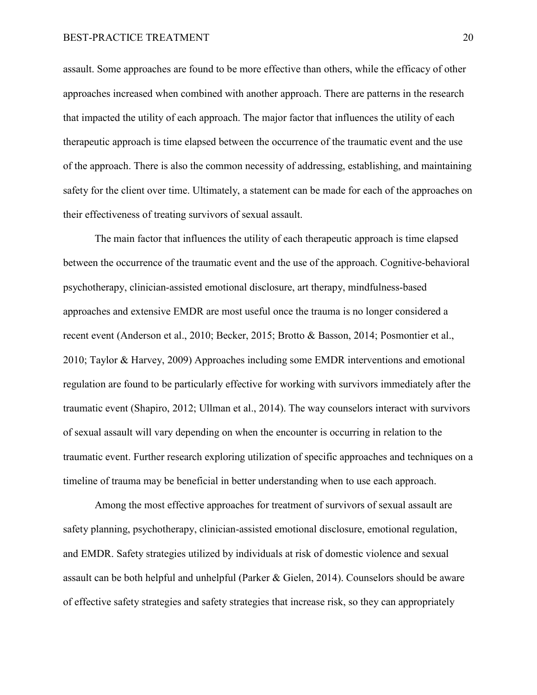## BEST-PRACTICE TREATMENT 20

assault. Some approaches are found to be more effective than others, while the efficacy of other approaches increased when combined with another approach. There are patterns in the research that impacted the utility of each approach. The major factor that influences the utility of each therapeutic approach is time elapsed between the occurrence of the traumatic event and the use of the approach. There is also the common necessity of addressing, establishing, and maintaining safety for the client over time. Ultimately, a statement can be made for each of the approaches on their effectiveness of treating survivors of sexual assault.

The main factor that influences the utility of each therapeutic approach is time elapsed between the occurrence of the traumatic event and the use of the approach. Cognitive-behavioral psychotherapy, clinician-assisted emotional disclosure, art therapy, mindfulness-based approaches and extensive EMDR are most useful once the trauma is no longer considered a recent event (Anderson et al., 2010; Becker, 2015; Brotto & Basson, 2014; Posmontier et al., 2010; Taylor & Harvey, 2009) Approaches including some EMDR interventions and emotional regulation are found to be particularly effective for working with survivors immediately after the traumatic event (Shapiro, 2012; Ullman et al., 2014). The way counselors interact with survivors of sexual assault will vary depending on when the encounter is occurring in relation to the traumatic event. Further research exploring utilization of specific approaches and techniques on a timeline of trauma may be beneficial in better understanding when to use each approach.

Among the most effective approaches for treatment of survivors of sexual assault are safety planning, psychotherapy, clinician-assisted emotional disclosure, emotional regulation, and EMDR. Safety strategies utilized by individuals at risk of domestic violence and sexual assault can be both helpful and unhelpful (Parker & Gielen, 2014). Counselors should be aware of effective safety strategies and safety strategies that increase risk, so they can appropriately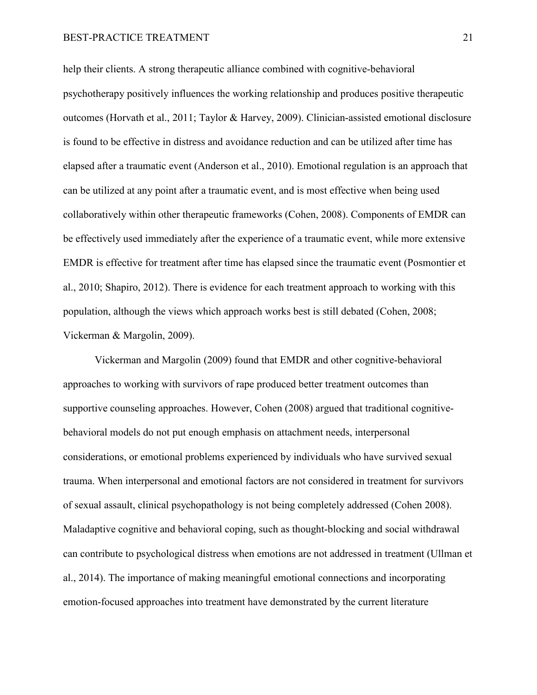## BEST-PRACTICE TREATMENT 21

help their clients. A strong therapeutic alliance combined with cognitive-behavioral psychotherapy positively influences the working relationship and produces positive therapeutic outcomes (Horvath et al., 2011; Taylor & Harvey, 2009). Clinician-assisted emotional disclosure is found to be effective in distress and avoidance reduction and can be utilized after time has elapsed after a traumatic event (Anderson et al., 2010). Emotional regulation is an approach that can be utilized at any point after a traumatic event, and is most effective when being used collaboratively within other therapeutic frameworks (Cohen, 2008). Components of EMDR can be effectively used immediately after the experience of a traumatic event, while more extensive EMDR is effective for treatment after time has elapsed since the traumatic event (Posmontier et al., 2010; Shapiro, 2012). There is evidence for each treatment approach to working with this population, although the views which approach works best is still debated (Cohen, 2008; Vickerman & Margolin, 2009).

Vickerman and Margolin (2009) found that EMDR and other cognitive-behavioral approaches to working with survivors of rape produced better treatment outcomes than supportive counseling approaches. However, Cohen (2008) argued that traditional cognitivebehavioral models do not put enough emphasis on attachment needs, interpersonal considerations, or emotional problems experienced by individuals who have survived sexual trauma. When interpersonal and emotional factors are not considered in treatment for survivors of sexual assault, clinical psychopathology is not being completely addressed (Cohen 2008). Maladaptive cognitive and behavioral coping, such as thought-blocking and social withdrawal can contribute to psychological distress when emotions are not addressed in treatment (Ullman et al., 2014). The importance of making meaningful emotional connections and incorporating emotion-focused approaches into treatment have demonstrated by the current literature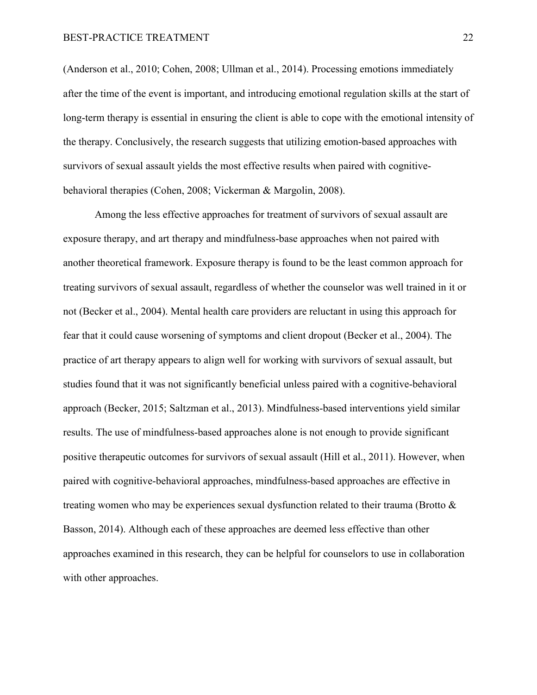(Anderson et al., 2010; Cohen, 2008; Ullman et al., 2014). Processing emotions immediately after the time of the event is important, and introducing emotional regulation skills at the start of long-term therapy is essential in ensuring the client is able to cope with the emotional intensity of the therapy. Conclusively, the research suggests that utilizing emotion-based approaches with survivors of sexual assault yields the most effective results when paired with cognitivebehavioral therapies (Cohen, 2008; Vickerman & Margolin, 2008).

Among the less effective approaches for treatment of survivors of sexual assault are exposure therapy, and art therapy and mindfulness-base approaches when not paired with another theoretical framework. Exposure therapy is found to be the least common approach for treating survivors of sexual assault, regardless of whether the counselor was well trained in it or not (Becker et al., 2004). Mental health care providers are reluctant in using this approach for fear that it could cause worsening of symptoms and client dropout (Becker et al., 2004). The practice of art therapy appears to align well for working with survivors of sexual assault, but studies found that it was not significantly beneficial unless paired with a cognitive-behavioral approach (Becker, 2015; Saltzman et al., 2013). Mindfulness-based interventions yield similar results. The use of mindfulness-based approaches alone is not enough to provide significant positive therapeutic outcomes for survivors of sexual assault (Hill et al., 2011). However, when paired with cognitive-behavioral approaches, mindfulness-based approaches are effective in treating women who may be experiences sexual dysfunction related to their trauma (Brotto & Basson, 2014). Although each of these approaches are deemed less effective than other approaches examined in this research, they can be helpful for counselors to use in collaboration with other approaches.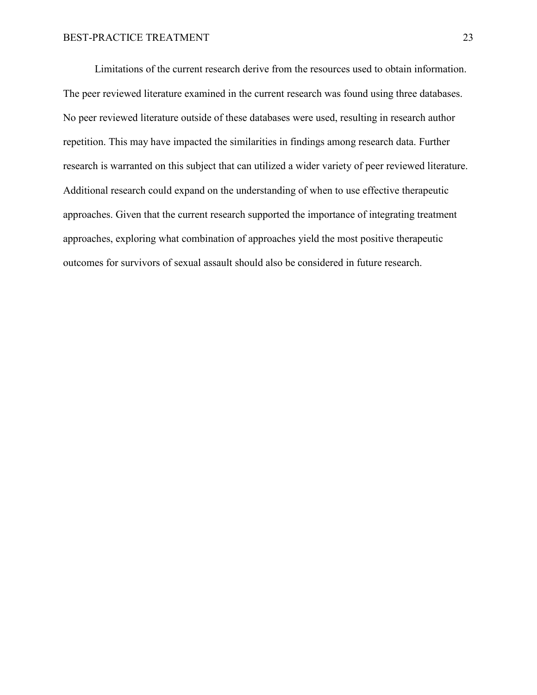Limitations of the current research derive from the resources used to obtain information. The peer reviewed literature examined in the current research was found using three databases. No peer reviewed literature outside of these databases were used, resulting in research author repetition. This may have impacted the similarities in findings among research data. Further research is warranted on this subject that can utilized a wider variety of peer reviewed literature. Additional research could expand on the understanding of when to use effective therapeutic approaches. Given that the current research supported the importance of integrating treatment approaches, exploring what combination of approaches yield the most positive therapeutic outcomes for survivors of sexual assault should also be considered in future research.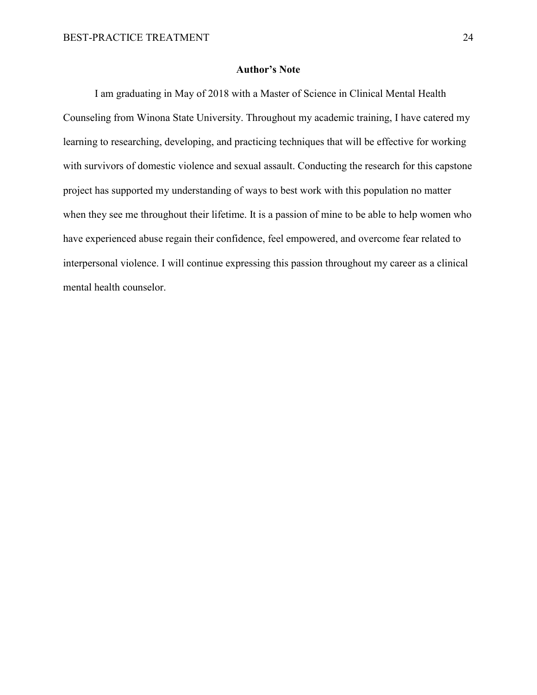## **Author's Note**

 I am graduating in May of 2018 with a Master of Science in Clinical Mental Health Counseling from Winona State University. Throughout my academic training, I have catered my learning to researching, developing, and practicing techniques that will be effective for working with survivors of domestic violence and sexual assault. Conducting the research for this capstone project has supported my understanding of ways to best work with this population no matter when they see me throughout their lifetime. It is a passion of mine to be able to help women who have experienced abuse regain their confidence, feel empowered, and overcome fear related to interpersonal violence. I will continue expressing this passion throughout my career as a clinical mental health counselor.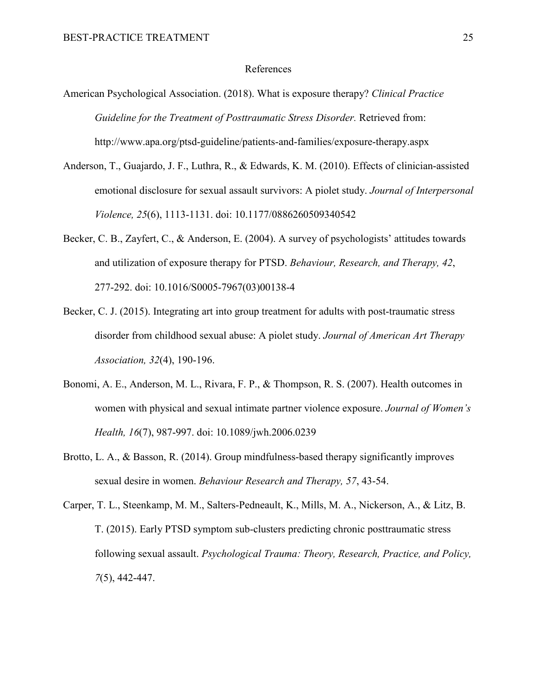#### References

- American Psychological Association. (2018). What is exposure therapy? *Clinical Practice Guideline for the Treatment of Posttraumatic Stress Disorder.* Retrieved from: http://www.apa.org/ptsd-guideline/patients-and-families/exposure-therapy.aspx
- Anderson, T., Guajardo, J. F., Luthra, R., & Edwards, K. M. (2010). Effects of clinician-assisted emotional disclosure for sexual assault survivors: A piolet study. *Journal of Interpersonal Violence, 25*(6), 1113-1131. doi: 10.1177/0886260509340542
- Becker, C. B., Zayfert, C., & Anderson, E. (2004). A survey of psychologists' attitudes towards and utilization of exposure therapy for PTSD. *Behaviour, Research, and Therapy, 42*, 277-292. doi: 10.1016/S0005-7967(03)00138-4
- Becker, C. J. (2015). Integrating art into group treatment for adults with post-traumatic stress disorder from childhood sexual abuse: A piolet study. *Journal of American Art Therapy Association, 32*(4), 190-196.
- Bonomi, A. E., Anderson, M. L., Rivara, F. P., & Thompson, R. S. (2007). Health outcomes in women with physical and sexual intimate partner violence exposure. *Journal of Women's Health, 16*(7), 987-997. doi: 10.1089/jwh.2006.0239
- Brotto, L. A., & Basson, R. (2014). Group mindfulness-based therapy significantly improves sexual desire in women. *Behaviour Research and Therapy, 57*, 43-54.
- Carper, T. L., Steenkamp, M. M., Salters-Pedneault, K., Mills, M. A., Nickerson, A., & Litz, B. T. (2015). Early PTSD symptom sub-clusters predicting chronic posttraumatic stress following sexual assault. *Psychological Trauma: Theory, Research, Practice, and Policy, 7*(5), 442-447.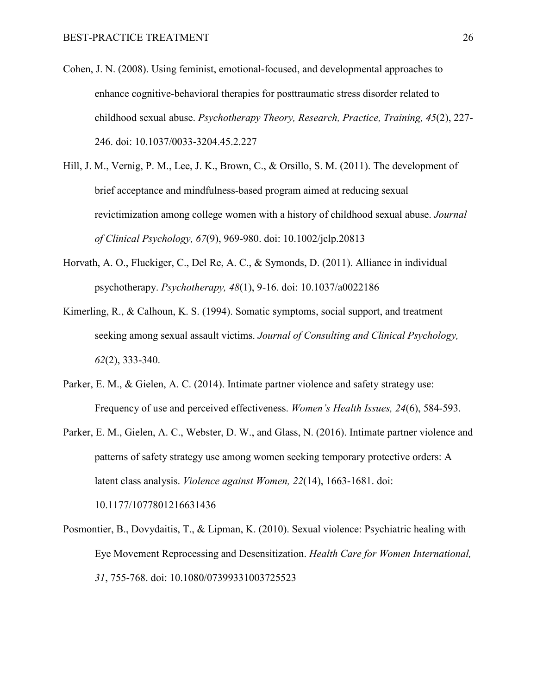- Cohen, J. N. (2008). Using feminist, emotional-focused, and developmental approaches to enhance cognitive-behavioral therapies for posttraumatic stress disorder related to childhood sexual abuse. *Psychotherapy Theory, Research, Practice, Training, 45*(2), 227- 246. doi: 10.1037/0033-3204.45.2.227
- Hill, J. M., Vernig, P. M., Lee, J. K., Brown, C., & Orsillo, S. M. (2011). The development of brief acceptance and mindfulness-based program aimed at reducing sexual revictimization among college women with a history of childhood sexual abuse. *Journal of Clinical Psychology, 67*(9), 969-980. doi: 10.1002/jclp.20813
- Horvath, A. O., Fluckiger, C., Del Re, A. C., & Symonds, D. (2011). Alliance in individual psychotherapy. *Psychotherapy, 48*(1), 9-16. doi: 10.1037/a0022186
- Kimerling, R., & Calhoun, K. S. (1994). Somatic symptoms, social support, and treatment seeking among sexual assault victims. *Journal of Consulting and Clinical Psychology, 62*(2), 333-340.
- Parker, E. M., & Gielen, A. C. (2014). Intimate partner violence and safety strategy use: Frequency of use and perceived effectiveness. *Women's Health Issues, 24*(6), 584-593.
- Parker, E. M., Gielen, A. C., Webster, D. W., and Glass, N. (2016). Intimate partner violence and patterns of safety strategy use among women seeking temporary protective orders: A latent class analysis. *Violence against Women, 22*(14), 1663-1681. doi: 10.1177/1077801216631436
- Posmontier, B., Dovydaitis, T., & Lipman, K. (2010). Sexual violence: Psychiatric healing with Eye Movement Reprocessing and Desensitization. *Health Care for Women International, 31*, 755-768. doi: 10.1080/07399331003725523